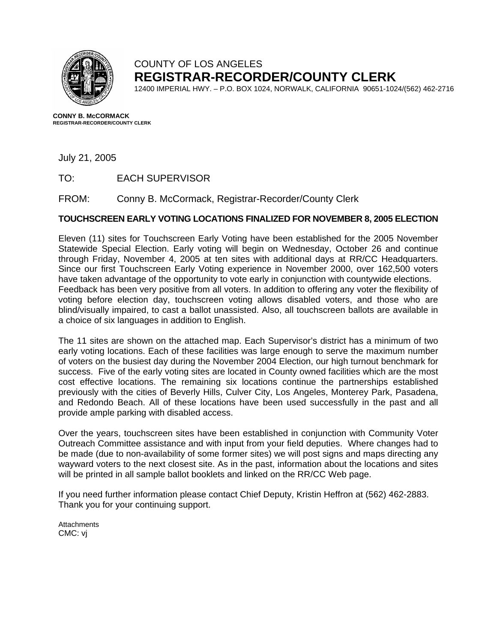

## COUNTY OF LOS ANGELES **REGISTRAR-RECORDER/COUNTY CLERK**

12400 IMPERIAL HWY. – P.O. BOX 1024, NORWALK, CALIFORNIA 90651-1024/(562) 462-2716

**CONNY B. McCORMACK REGISTRAR-RECORDER/COUNTY CLERK** 

July 21, 2005

TO: EACH SUPERVISOR

FROM: Conny B. McCormack, Registrar-Recorder/County Clerk

### **TOUCHSCREEN EARLY VOTING LOCATIONS FINALIZED FOR NOVEMBER 8, 2005 ELECTION**

Eleven (11) sites for Touchscreen Early Voting have been established for the 2005 November Statewide Special Election. Early voting will begin on Wednesday, October 26 and continue through Friday, November 4, 2005 at ten sites with additional days at RR/CC Headquarters. Since our first Touchscreen Early Voting experience in November 2000, over 162,500 voters have taken advantage of the opportunity to vote early in conjunction with countywide elections. Feedback has been very positive from all voters. In addition to offering any voter the flexibility of voting before election day, touchscreen voting allows disabled voters, and those who are blind/visually impaired, to cast a ballot unassisted. Also, all touchscreen ballots are available in a choice of six languages in addition to English.

The 11 sites are shown on the attached map. Each Supervisor's district has a minimum of two early voting locations. Each of these facilities was large enough to serve the maximum number of voters on the busiest day during the November 2004 Election, our high turnout benchmark for success. Five of the early voting sites are located in County owned facilities which are the most cost effective locations. The remaining six locations continue the partnerships established previously with the cities of Beverly Hills, Culver City, Los Angeles, Monterey Park, Pasadena, and Redondo Beach. All of these locations have been used successfully in the past and all provide ample parking with disabled access.

Over the years, touchscreen sites have been established in conjunction with Community Voter Outreach Committee assistance and with input from your field deputies. Where changes had to be made (due to non-availability of some former sites) we will post signs and maps directing any wayward voters to the next closest site. As in the past, information about the locations and sites will be printed in all sample ballot booklets and linked on the RR/CC Web page.

If you need further information please contact Chief Deputy, Kristin Heffron at (562) 462-2883. Thank you for your continuing support.

**Attachments** CMC: vj